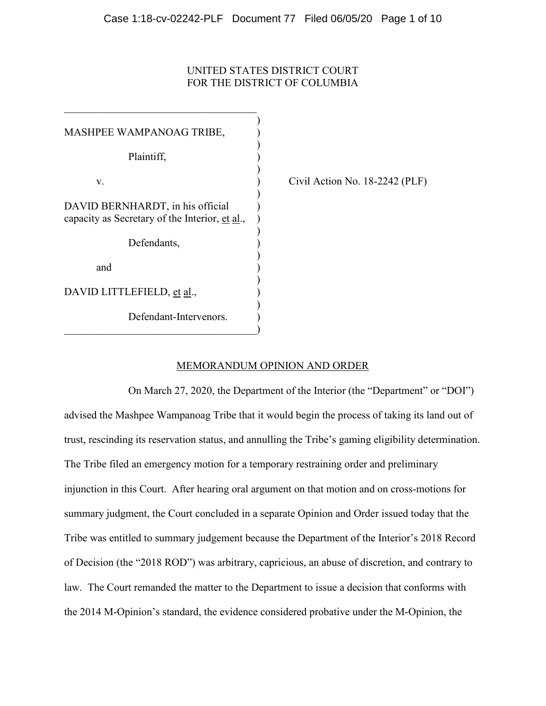# UNITED STATES DISTRICT COURT FOR THE DISTRICT OF COLUMBIA

| MASHPEE WAMPANOAG TRIBE,                                                           |  |
|------------------------------------------------------------------------------------|--|
| Plaintiff,                                                                         |  |
| V.                                                                                 |  |
| DAVID BERNHARDT, in his official<br>capacity as Secretary of the Interior, et al., |  |
| Defendants,                                                                        |  |
| and                                                                                |  |
| DAVID LITTLEFIELD, et al.,                                                         |  |
| Defendant-Intervenors.                                                             |  |
|                                                                                    |  |

Civil Action No.  $18-2242$  (PLF)

# MEMORANDUM OPINION AND ORDER

On March 27, 2020, the Department of the Interior (the "Department" or "DOI") advised the Mashpee Wampanoag Tribe that it would begin the process of taking its land out of trust, rescinding its reservation status, and annulling the Tribe's gaming eligibility determination. The Tribe filed an emergency motion for a temporary restraining order and preliminary injunction in this Court. After hearing oral argument on that motion and on cross-motions for summary judgment, the Court concluded in a separate Opinion and Order issued today that the Tribe was entitled to summary judgement because the Department of the Interior's 2018 Record of Decision (the "2018 ROD") was arbitrary, capricious, an abuse of discretion, and contrary to law. The Court remanded the matter to the Department to issue a decision that conforms with the 2014 M-Opinion's standard, the evidence considered probative under the M-Opinion, the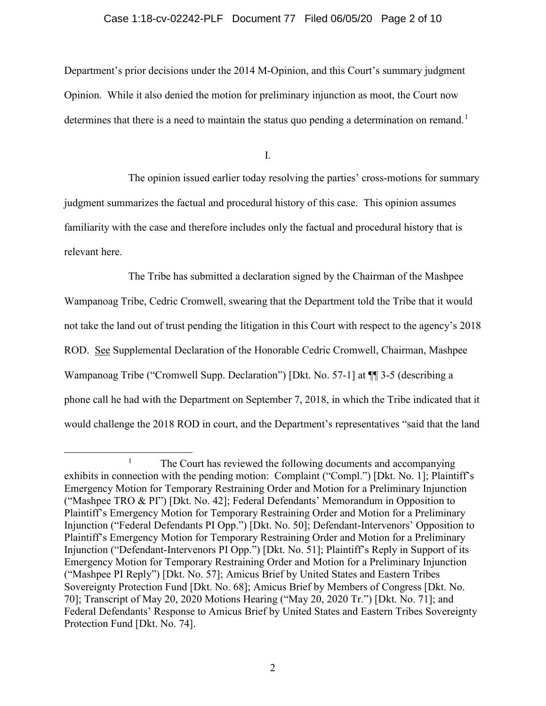#### Case 1:18-cv-02242-PLF Document 77 Filed 06/05/20 Page 2 of 10

Department's prior decisions under the 2014 M-Opinion, and this Court's summary judgment Opinion. While it also denied the motion for preliminary injunction as moot, the Court now determines that there is a need to maintain the status quo pending a determination on remand.<sup>1</sup>

I.

The opinion issued earlier today resolving the parties' cross-motions for summary judgment summarizes the factual and procedural history of this case. This opinion assumes familiarity with the case and therefore includes only the factual and procedural history that is relevant here.

The Tribe has submitted a declaration signed by the Chairman of the Mashpee Wampanoag Tribe, Cedric Cromwell, swearing that the Department told the Tribe that it would not take the land out of trust pending the litigation in this Court with respect to the agency's 2018 ROD. See Supplemental Declaration of the Honorable Cedric Cromwell, Chairman, Mashpee Wampanoag Tribe ("Cromwell Supp. Declaration") [Dkt. No. 57-1] at ¶¶ 3-5 (describing a phone call he had with the Department on September 7, 2018, in which the Tribe indicated that it would challenge the 2018 ROD in court, and the Department's representatives "said that the land

<sup>&</sup>lt;sup>1</sup> The Court has reviewed the following documents and accompanying exhibits in connection with the pending motion: Complaint ("Compl.") [Dkt. No. 1]; Plaintiff's Emergency Motion for Temporary Restraining Order and Motion for a Preliminary Injunction ("Mashpee TRO & PI") [Dkt. No. 42]; Federal Defendants' Memorandum in Opposition to Plaintiff's Emergency Motion for Temporary Restraining Order and Motion for a Preliminary Injunction ("Federal Defendants PI Opp.") [Dkt. No. 50]; Defendant-Intervenors' Opposition to Plaintiff's Emergency Motion for Temporary Restraining Order and Motion for a Preliminary Injunction ("Defendant-Intervenors PI Opp.") [Dkt. No. 51]; Plaintiff's Reply in Support of its Emergency Motion for Temporary Restraining Order and Motion for a Preliminary Injunction ("Mashpee PI Reply") [Dkt. No. 57]; Amicus Brief by United States and Eastern Tribes Sovereignty Protection Fund [Dkt. No. 68]; Amicus Brief by Members of Congress [Dkt. No. 70]; Transcript of May 20, 2020 Motions Hearing ("May 20, 2020 Tr.") [Dkt. No. 71]; and Federal Defendants' Response to Amicus Brief by United States and Eastern Tribes Sovereignty Protection Fund [Dkt. No. 74].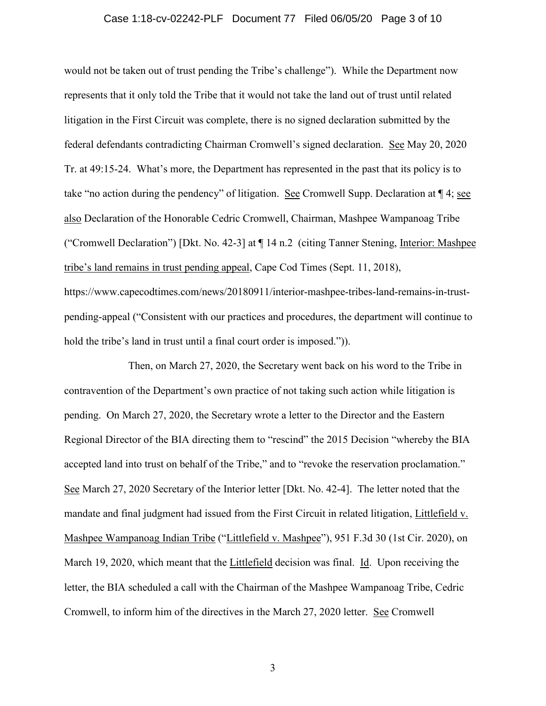# Case 1:18-cv-02242-PLF Document 77 Filed 06/05/20 Page 3 of 10

would not be taken out of trust pending the Tribe's challenge"). While the Department now represents that it only told the Tribe that it would not take the land out of trust until related litigation in the First Circuit was complete, there is no signed declaration submitted by the federal defendants contradicting Chairman Cromwell's signed declaration. See May 20, 2020 Tr. at 49:15-24. What's more, the Department has represented in the past that its policy is to take "no action during the pendency" of litigation. See Cromwell Supp. Declaration at ¶ 4; see also Declaration of the Honorable Cedric Cromwell, Chairman, Mashpee Wampanoag Tribe ("Cromwell Declaration") [Dkt. No. 42-3] at ¶ 14 n.2 (citing Tanner Stening, Interior: Mashpee tribe's land remains in trust pending appeal, Cape Cod Times (Sept. 11, 2018), https://www.capecodtimes.com/news/20180911/interior-mashpee-tribes-land-remains-in-trust-

pending-appeal ("Consistent with our practices and procedures, the department will continue to hold the tribe's land in trust until a final court order is imposed.").

Then, on March 27, 2020, the Secretary went back on his word to the Tribe in contravention of the Department's own practice of not taking such action while litigation is pending. On March 27, 2020, the Secretary wrote a letter to the Director and the Eastern Regional Director of the BIA directing them to "rescind" the 2015 Decision "whereby the BIA accepted land into trust on behalf of the Tribe," and to "revoke the reservation proclamation." See March 27, 2020 Secretary of the Interior letter [Dkt. No. 42-4]. The letter noted that the mandate and final judgment had issued from the First Circuit in related litigation, Littlefield v. Mashpee Wampanoag Indian Tribe ("Littlefield v. Mashpee"), 951 F.3d 30 (1st Cir. 2020), on March 19, 2020, which meant that the Littlefield decision was final. Id. Upon receiving the letter, the BIA scheduled a call with the Chairman of the Mashpee Wampanoag Tribe, Cedric Cromwell, to inform him of the directives in the March 27, 2020 letter. See Cromwell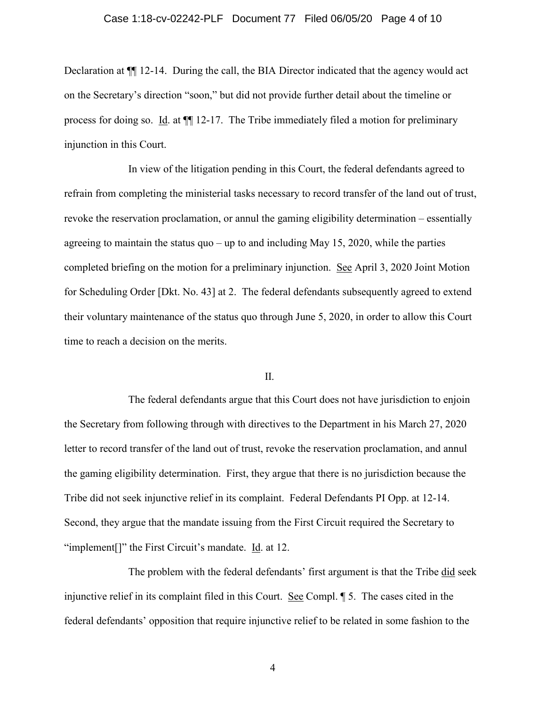## Case 1:18-cv-02242-PLF Document 77 Filed 06/05/20 Page 4 of 10

Declaration at ¶¶ 12-14. During the call, the BIA Director indicated that the agency would act on the Secretary's direction "soon," but did not provide further detail about the timeline or process for doing so. Id. at ¶¶ 12-17. The Tribe immediately filed a motion for preliminary injunction in this Court.

In view of the litigation pending in this Court, the federal defendants agreed to refrain from completing the ministerial tasks necessary to record transfer of the land out of trust, revoke the reservation proclamation, or annul the gaming eligibility determination – essentially agreeing to maintain the status quo – up to and including May 15, 2020, while the parties completed briefing on the motion for a preliminary injunction. See April 3, 2020 Joint Motion for Scheduling Order [Dkt. No. 43] at 2. The federal defendants subsequently agreed to extend their voluntary maintenance of the status quo through June 5, 2020, in order to allow this Court time to reach a decision on the merits.

#### II.

The federal defendants argue that this Court does not have jurisdiction to enjoin the Secretary from following through with directives to the Department in his March 27, 2020 letter to record transfer of the land out of trust, revoke the reservation proclamation, and annul the gaming eligibility determination. First, they argue that there is no jurisdiction because the Tribe did not seek injunctive relief in its complaint. Federal Defendants PI Opp. at 12-14. Second, they argue that the mandate issuing from the First Circuit required the Secretary to "implement<sup>[]"</sup> the First Circuit's mandate. Id. at 12.

The problem with the federal defendants' first argument is that the Tribe did seek injunctive relief in its complaint filed in this Court. See Compl. ¶ 5. The cases cited in the federal defendants' opposition that require injunctive relief to be related in some fashion to the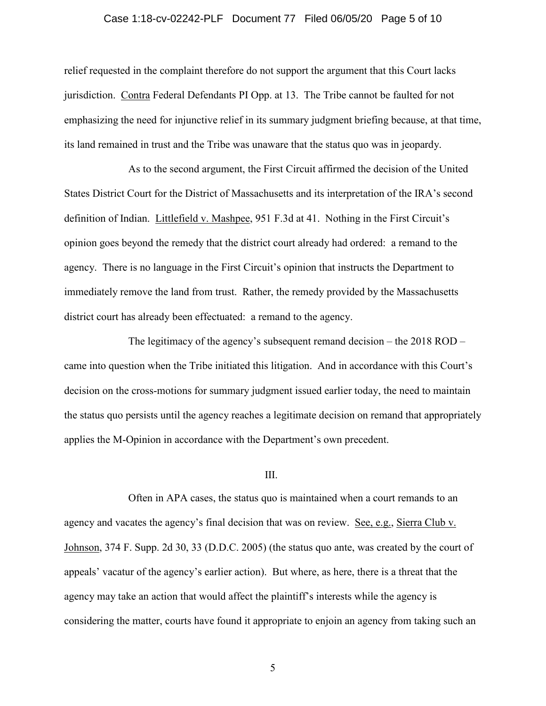## Case 1:18-cv-02242-PLF Document 77 Filed 06/05/20 Page 5 of 10

relief requested in the complaint therefore do not support the argument that this Court lacks jurisdiction. Contra Federal Defendants PI Opp. at 13. The Tribe cannot be faulted for not emphasizing the need for injunctive relief in its summary judgment briefing because, at that time, its land remained in trust and the Tribe was unaware that the status quo was in jeopardy.

As to the second argument, the First Circuit affirmed the decision of the United States District Court for the District of Massachusetts and its interpretation of the IRA's second definition of Indian. Littlefield v. Mashpee, 951 F.3d at 41. Nothing in the First Circuit's opinion goes beyond the remedy that the district court already had ordered: a remand to the agency. There is no language in the First Circuit's opinion that instructs the Department to immediately remove the land from trust. Rather, the remedy provided by the Massachusetts district court has already been effectuated: a remand to the agency.

The legitimacy of the agency's subsequent remand decision – the 2018 ROD – came into question when the Tribe initiated this litigation. And in accordance with this Court's decision on the cross-motions for summary judgment issued earlier today, the need to maintain the status quo persists until the agency reaches a legitimate decision on remand that appropriately applies the M-Opinion in accordance with the Department's own precedent.

#### III.

Often in APA cases, the status quo is maintained when a court remands to an agency and vacates the agency's final decision that was on review. See, e.g., Sierra Club v. Johnson, 374 F. Supp. 2d 30, 33 (D.D.C. 2005) (the status quo ante, was created by the court of appeals' vacatur of the agency's earlier action). But where, as here, there is a threat that the agency may take an action that would affect the plaintiff's interests while the agency is considering the matter, courts have found it appropriate to enjoin an agency from taking such an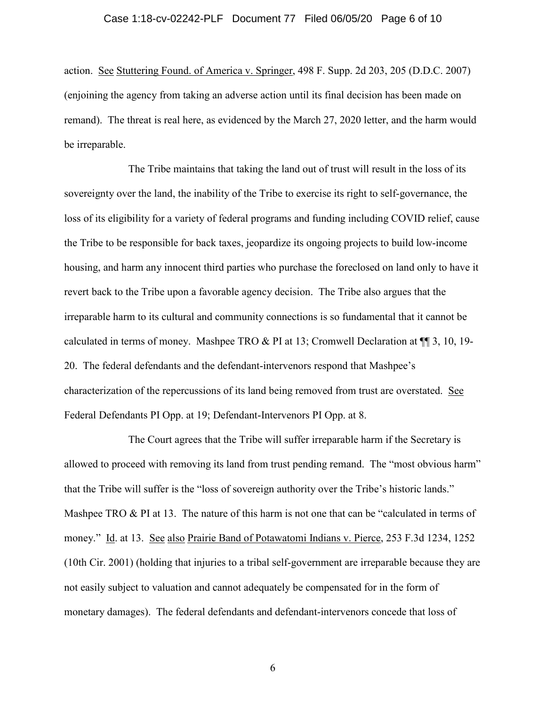## Case 1:18-cv-02242-PLF Document 77 Filed 06/05/20 Page 6 of 10

action. See Stuttering Found. of America v. Springer, 498 F. Supp. 2d 203, 205 (D.D.C. 2007) (enjoining the agency from taking an adverse action until its final decision has been made on remand). The threat is real here, as evidenced by the March 27, 2020 letter, and the harm would be irreparable.

The Tribe maintains that taking the land out of trust will result in the loss of its sovereignty over the land, the inability of the Tribe to exercise its right to self-governance, the loss of its eligibility for a variety of federal programs and funding including COVID relief, cause the Tribe to be responsible for back taxes, jeopardize its ongoing projects to build low-income housing, and harm any innocent third parties who purchase the foreclosed on land only to have it revert back to the Tribe upon a favorable agency decision. The Tribe also argues that the irreparable harm to its cultural and community connections is so fundamental that it cannot be calculated in terms of money. Mashpee TRO & PI at 13; Cromwell Declaration at  $\P$   $\P$  3, 10, 19-20. The federal defendants and the defendant-intervenors respond that Mashpee's characterization of the repercussions of its land being removed from trust are overstated. See Federal Defendants PI Opp. at 19; Defendant-Intervenors PI Opp. at 8.

The Court agrees that the Tribe will suffer irreparable harm if the Secretary is allowed to proceed with removing its land from trust pending remand. The "most obvious harm" that the Tribe will suffer is the "loss of sovereign authority over the Tribe's historic lands." Mashpee TRO & PI at 13. The nature of this harm is not one that can be "calculated in terms of money." Id. at 13. See also Prairie Band of Potawatomi Indians v. Pierce, 253 F.3d 1234, 1252 (10th Cir. 2001) (holding that injuries to a tribal self-government are irreparable because they are not easily subject to valuation and cannot adequately be compensated for in the form of monetary damages). The federal defendants and defendant-intervenors concede that loss of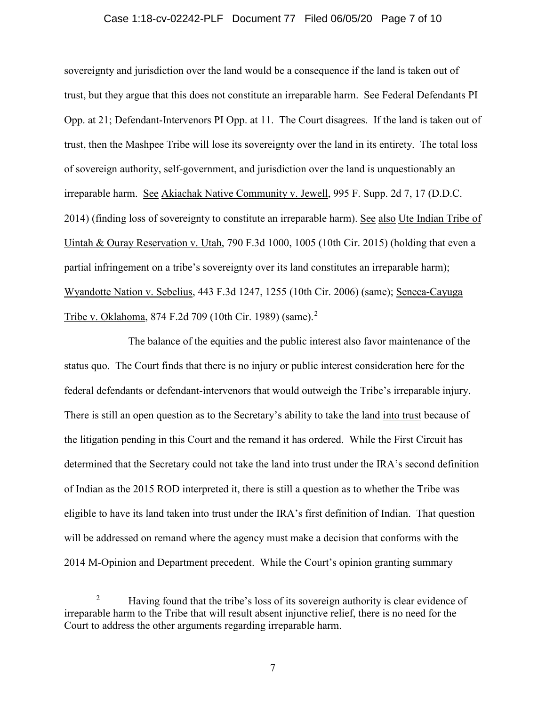#### Case 1:18-cv-02242-PLF Document 77 Filed 06/05/20 Page 7 of 10

sovereignty and jurisdiction over the land would be a consequence if the land is taken out of trust, but they argue that this does not constitute an irreparable harm. See Federal Defendants PI Opp. at 21; Defendant-Intervenors PI Opp. at 11. The Court disagrees. If the land is taken out of trust, then the Mashpee Tribe will lose its sovereignty over the land in its entirety. The total loss of sovereign authority, self-government, and jurisdiction over the land is unquestionably an irreparable harm. See Akiachak Native Community v. Jewell, 995 F. Supp. 2d 7, 17 (D.D.C. 2014) (finding loss of sovereignty to constitute an irreparable harm). See also Ute Indian Tribe of Uintah & Ouray Reservation v. Utah, 790 F.3d 1000, 1005 (10th Cir. 2015) (holding that even a partial infringement on a tribe's sovereignty over its land constitutes an irreparable harm); Wyandotte Nation v. Sebelius, 443 F.3d 1247, 1255 (10th Cir. 2006) (same); Seneca-Cayuga Tribe v. Oklahoma, 874 F.2d 709 (10th Cir. 1989) (same).<sup>2</sup>

The balance of the equities and the public interest also favor maintenance of the status quo. The Court finds that there is no injury or public interest consideration here for the federal defendants or defendant-intervenors that would outweigh the Tribe's irreparable injury. There is still an open question as to the Secretary's ability to take the land into trust because of the litigation pending in this Court and the remand it has ordered. While the First Circuit has determined that the Secretary could not take the land into trust under the IRA's second definition of Indian as the 2015 ROD interpreted it, there is still a question as to whether the Tribe was eligible to have its land taken into trust under the IRA's first definition of Indian. That question will be addressed on remand where the agency must make a decision that conforms with the 2014 M-Opinion and Department precedent. While the Court's opinion granting summary

<sup>&</sup>lt;sup>2</sup> Having found that the tribe's loss of its sovereign authority is clear evidence of irreparable harm to the Tribe that will result absent injunctive relief, there is no need for the Court to address the other arguments regarding irreparable harm.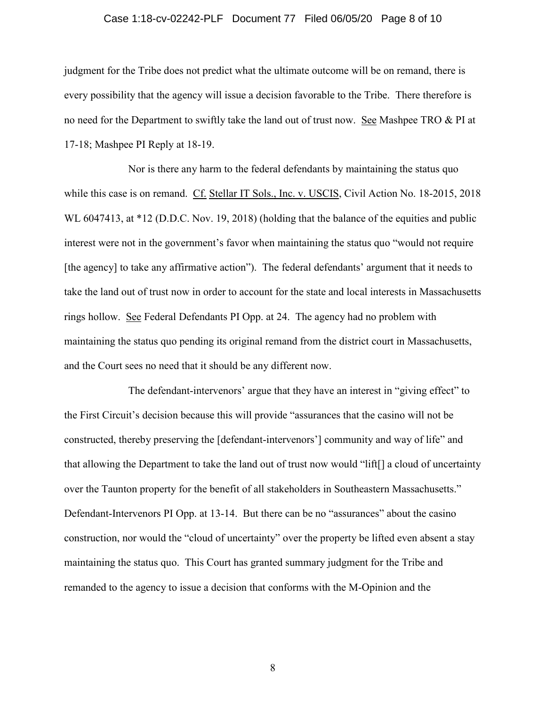## Case 1:18-cv-02242-PLF Document 77 Filed 06/05/20 Page 8 of 10

judgment for the Tribe does not predict what the ultimate outcome will be on remand, there is every possibility that the agency will issue a decision favorable to the Tribe. There therefore is no need for the Department to swiftly take the land out of trust now. See Mashpee TRO & PI at 17-18; Mashpee PI Reply at 18-19.

Nor is there any harm to the federal defendants by maintaining the status quo while this case is on remand. Cf. Stellar IT Sols., Inc. v. USCIS, Civil Action No. 18-2015, 2018 WL 6047413, at \*12 (D.D.C. Nov. 19, 2018) (holding that the balance of the equities and public interest were not in the government's favor when maintaining the status quo "would not require [the agency] to take any affirmative action"). The federal defendants' argument that it needs to take the land out of trust now in order to account for the state and local interests in Massachusetts rings hollow. See Federal Defendants PI Opp. at 24. The agency had no problem with maintaining the status quo pending its original remand from the district court in Massachusetts, and the Court sees no need that it should be any different now.

The defendant-intervenors' argue that they have an interest in "giving effect" to the First Circuit's decision because this will provide "assurances that the casino will not be constructed, thereby preserving the [defendant-intervenors'] community and way of life" and that allowing the Department to take the land out of trust now would "lift[] a cloud of uncertainty over the Taunton property for the benefit of all stakeholders in Southeastern Massachusetts." Defendant-Intervenors PI Opp. at 13-14. But there can be no "assurances" about the casino construction, nor would the "cloud of uncertainty" over the property be lifted even absent a stay maintaining the status quo. This Court has granted summary judgment for the Tribe and remanded to the agency to issue a decision that conforms with the M-Opinion and the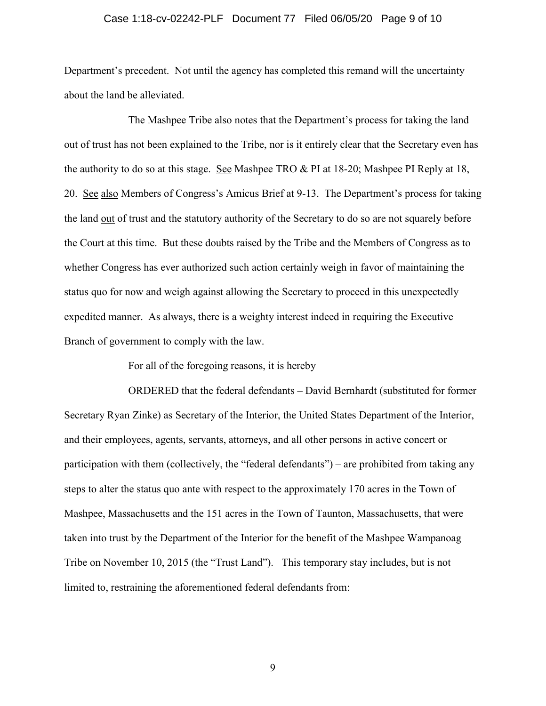## Case 1:18-cv-02242-PLF Document 77 Filed 06/05/20 Page 9 of 10

Department's precedent. Not until the agency has completed this remand will the uncertainty about the land be alleviated.

The Mashpee Tribe also notes that the Department's process for taking the land out of trust has not been explained to the Tribe, nor is it entirely clear that the Secretary even has the authority to do so at this stage. See Mashpee TRO & PI at 18-20; Mashpee PI Reply at 18, 20. See also Members of Congress's Amicus Brief at 9-13. The Department's process for taking the land out of trust and the statutory authority of the Secretary to do so are not squarely before the Court at this time. But these doubts raised by the Tribe and the Members of Congress as to whether Congress has ever authorized such action certainly weigh in favor of maintaining the status quo for now and weigh against allowing the Secretary to proceed in this unexpectedly expedited manner. As always, there is a weighty interest indeed in requiring the Executive Branch of government to comply with the law.

For all of the foregoing reasons, it is hereby

ORDERED that the federal defendants – David Bernhardt (substituted for former Secretary Ryan Zinke) as Secretary of the Interior, the United States Department of the Interior, and their employees, agents, servants, attorneys, and all other persons in active concert or participation with them (collectively, the "federal defendants") – are prohibited from taking any steps to alter the status quo ante with respect to the approximately 170 acres in the Town of Mashpee, Massachusetts and the 151 acres in the Town of Taunton, Massachusetts, that were taken into trust by the Department of the Interior for the benefit of the Mashpee Wampanoag Tribe on November 10, 2015 (the "Trust Land"). This temporary stay includes, but is not limited to, restraining the aforementioned federal defendants from: